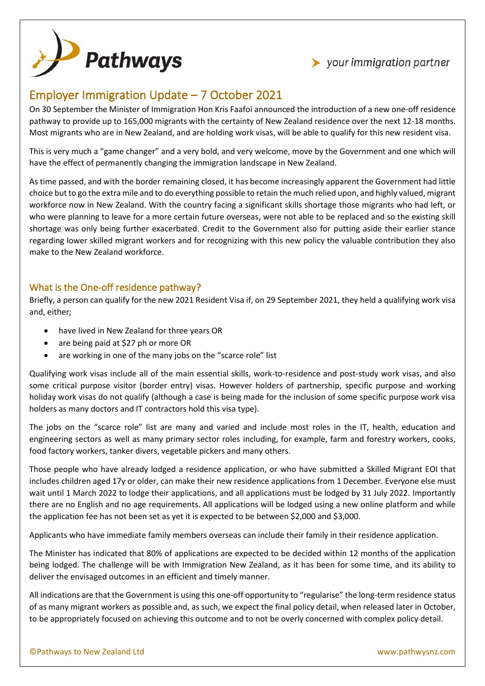



## Employer Immigration Update – 7 October 2021

On 30 September the Minister of Immigration Hon Kris Faafoi announced the introduction of a new one-off residence pathway to provide up to 165,000 migrants with the certainty of New Zealand residence over the next 12-18 months. Most migrants who are in New Zealand, and are holding work visas, will be able to qualify for this new resident visa.

This is very much a "game changer" and a very bold, and very welcome, move by the Government and one which will have the effect of permanently changing the immigration landscape in New Zealand.

As time passed, and with the border remaining closed, it has become increasingly apparent the Government had little choice but to go the extra mile and to do everything possible to retain the much relied upon, and highly valued, migrant workforce now in New Zealand. With the country facing a significant skills shortage those migrants who had left, or who were planning to leave for a more certain future overseas, were not able to be replaced and so the existing skill shortage was only being further exacerbated. Credit to the Government also for putting aside their earlier stance regarding lower skilled migrant workers and for recognizing with this new policy the valuable contribution they also make to the New Zealand workforce.

## What is the One-off residence pathway?

Briefly, a person can qualify for the new 2021 Resident Visa if, on 29 September 2021, they held a qualifying work visa and, either;

- have lived in New Zealand for three years OR
- are being paid at \$27 ph or more OR
- are working in one of the many jobs on the "scarce role" list

Qualifying work visas include all of the main essential skills, work-to-residence and post-study work visas, and also some critical purpose visitor (border entry) visas. However holders of partnership, specific purpose and working holiday work visas do not qualify (although a case is being made for the inclusion of some specific purpose work visa holders as many doctors and IT contractors hold this visa type).

The jobs on the "scarce role" list are many and varied and include most roles in the IT, health, education and engineering sectors as well as many primary sector roles including, for example, farm and forestry workers, cooks, food factory workers, tanker divers, vegetable pickers and many others.

Those people who have already lodged a residence application, or who have submitted a Skilled Migrant EOI that includes children aged 17y or older, can make their new residence applications from 1 December. Everyone else must wait until 1 March 2022 to lodge their applications, and all applications must be lodged by 31 July 2022. Importantly there are no English and no age requirements. All applications will be lodged using a new online platform and while the application fee has not been set as yet it is expected to be between \$2,000 and \$3,000.

Applicants who have immediate family members overseas can include their family in their residence application.

The Minister has indicated that 80% of applications are expected to be decided within 12 months of the application being lodged. The challenge will be with Immigration New Zealand, as it has been for some time, and its ability to deliver the envisaged outcomes in an efficient and timely manner.

All indications are that the Government is using this one-off opportunity to "regularise" the long-term residence status of as many migrant workers as possible and, as such, we expect the final policy detail, when released later in October, to be appropriately focused on achieving this outcome and to not be overly concerned with complex policy detail.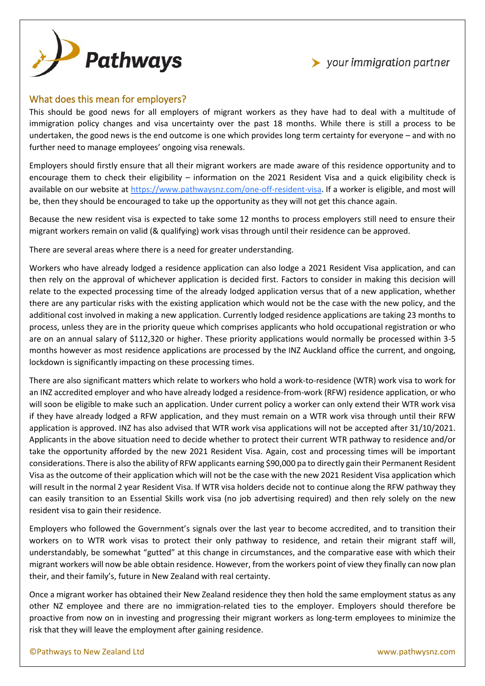



## What does this mean for employers?

This should be good news for all employers of migrant workers as they have had to deal with a multitude of immigration policy changes and visa uncertainty over the past 18 months. While there is still a process to be undertaken, the good news is the end outcome is one which provides long term certainty for everyone – and with no further need to manage employees' ongoing visa renewals.

Employers should firstly ensure that all their migrant workers are made aware of this residence opportunity and to encourage them to check their eligibility – information on the 2021 Resident Visa and a quick eligibility check is available on our website at [https://www.pathwaysnz.com/one-off-resident-visa.](https://www.pathwaysnz.com/one-off-resident-visa) If a worker is eligible, and most will be, then they should be encouraged to take up the opportunity as they will not get this chance again.

Because the new resident visa is expected to take some 12 months to process employers still need to ensure their migrant workers remain on valid (& qualifying) work visas through until their residence can be approved.

There are several areas where there is a need for greater understanding.

Workers who have already lodged a residence application can also lodge a 2021 Resident Visa application, and can then rely on the approval of whichever application is decided first. Factors to consider in making this decision will relate to the expected processing time of the already lodged application versus that of a new application, whether there are any particular risks with the existing application which would not be the case with the new policy, and the additional cost involved in making a new application. Currently lodged residence applications are taking 23 months to process, unless they are in the priority queue which comprises applicants who hold occupational registration or who are on an annual salary of \$112,320 or higher. These priority applications would normally be processed within 3-5 months however as most residence applications are processed by the INZ Auckland office the current, and ongoing, lockdown is significantly impacting on these processing times.

There are also significant matters which relate to workers who hold a work-to-residence (WTR) work visa to work for an INZ accredited employer and who have already lodged a residence-from-work (RFW) residence application, or who will soon be eligible to make such an application. Under current policy a worker can only extend their WTR work visa if they have already lodged a RFW application, and they must remain on a WTR work visa through until their RFW application is approved. INZ has also advised that WTR work visa applications will not be accepted after 31/10/2021. Applicants in the above situation need to decide whether to protect their current WTR pathway to residence and/or take the opportunity afforded by the new 2021 Resident Visa. Again, cost and processing times will be important considerations. There is also the ability of RFW applicants earning \$90,000 pa to directly gain their Permanent Resident Visa as the outcome of their application which will not be the case with the new 2021 Resident Visa application which will result in the normal 2 year Resident Visa. If WTR visa holders decide not to continue along the RFW pathway they can easily transition to an Essential Skills work visa (no job advertising required) and then rely solely on the new resident visa to gain their residence.

Employers who followed the Government's signals over the last year to become accredited, and to transition their workers on to WTR work visas to protect their only pathway to residence, and retain their migrant staff will, understandably, be somewhat "gutted" at this change in circumstances, and the comparative ease with which their migrant workers will now be able obtain residence. However, from the workers point of view they finally can now plan their, and their family's, future in New Zealand with real certainty.

Once a migrant worker has obtained their New Zealand residence they then hold the same employment status as any other NZ employee and there are no immigration-related ties to the employer. Employers should therefore be proactive from now on in investing and progressing their migrant workers as long-term employees to minimize the risk that they will leave the employment after gaining residence.